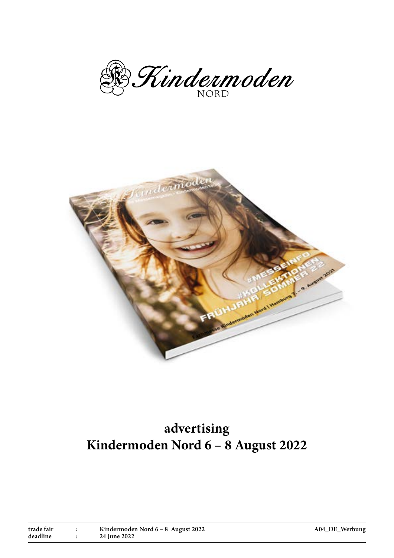B. Kindermoden



# **advertising Kindermoden Nord 6 – 8 August 2022**

| trade fair | Kindermoden Nord 6 – 8 August 2022 |
|------------|------------------------------------|
| deadline   | 24 June 2022                       |

**A04\_DE\_Werbung**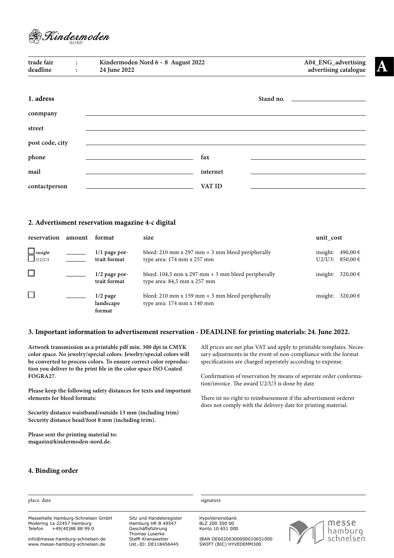

| trade fair<br>deadline | $\ddot{\cdot}$<br>$\ddot{\cdot}$ | Kindermoden Nord 6 - 8 August 2022<br>24 June 2022 |          | A04_ENG_advertising<br>advertising catalogue |
|------------------------|----------------------------------|----------------------------------------------------|----------|----------------------------------------------|
| 1. adress              |                                  |                                                    |          |                                              |
| conmpany               |                                  |                                                    |          |                                              |
| street                 |                                  |                                                    |          |                                              |
| post code, city        |                                  |                                                    |          |                                              |
| phone                  |                                  |                                                    | fax      |                                              |
| mail                   |                                  |                                                    | internet |                                              |
| contactperson          |                                  |                                                    | VAT ID   |                                              |

#### **2. Advertisment reservation magazine 4-c digital**

| reservation             | amount | format                            | size                                                                                    | unit_cost             |                    |
|-------------------------|--------|-----------------------------------|-----------------------------------------------------------------------------------------|-----------------------|--------------------|
| $\Box$ insight<br>U2/U3 |        | $1/1$ page por-<br>trait format   | bleed: 210 mm x 297 mm $+$ 3 mm bleed peripherally<br>type area: 174 mm x 257 mm        | insight:<br>$U2/U3$ : | 490,00€<br>850,00€ |
| └                       |        | $1/2$ page por-<br>trait format   | bleed: 104,5 mm x 297 mm $+$ 3 mm bleed peripherally<br>type area: $84,5$ mm x $257$ mm | insight:              | 320,00 €           |
| ⊏                       |        | $1/2$ page<br>landscape<br>format | bleed: 210 mm x 159 mm $+$ 3 mm bleed peripherally<br>type area: 174 mm x 140 mm        | insight:              | 320,00 €           |

#### **3. Important information to advertisement reservation - DEADLINE for printing materials: 24. June 2022.**

**Artwork transmission as a printable pdf min. 300 dpi in CMYK color space. No jewelry/special colors. Jewelry/special colors will be converted to process colors. To ensure correct color reproduction you deliver to the print file in the color space ISO Coated FOGRA27.** 

**Please keep the following safety distances for texts and important elements for bleed formats:** 

**Security distance waistband/outside 13 mm (including trim) Security distance head/foot 8 mm (including trim).**

**Please sent the printing material to: magazin@kindermoden-nord.de.**

All prices are net plus VAT and apply to printable templates. Necessary adjustments in the event of non-compliance with the format specifications are charged seperately according to expense.

Confirmation of reservation by means of seperate order conformation/invoice. The award U2/U3 is done by date.

There ist no right to reimbursement if the advertisment orderer does not comply with the delivery date for printing material.

#### **4. Binding order**

| place, date                                                                                    |                                                                    | signature                                             |                           |  |
|------------------------------------------------------------------------------------------------|--------------------------------------------------------------------|-------------------------------------------------------|---------------------------|--|
| MesseHalle Hamburg-Schnelsen GmbH<br>Modering 1a 22457 Hamburg<br>Telefon<br>+49(40)88 88 99 0 | Sitz und Handelsregister<br>Hamburg HR B 49547<br>Geschäftsführung | HypoVereinsbank<br>BLZ 200 300 00<br>Konto 10 651 000 | $\bigcap_{\text{hambuo}}$ |  |

info@messe-hamburg-schnelsen.de www.messe-hamburg-schnelsen.de

Sitz und Handelsregister Hamburg HR B 49547 Geschäftsführung Thomas Luserke Steffi Kranawetter Ust.-ID: DE118456445

Konto 10 651 000

IBAN DE60200300000010651000 SWIFT (BIC) HYVEDEMM300

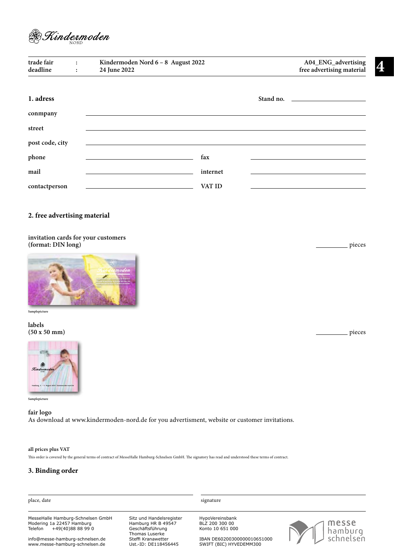

| trade fair<br>deadline | $\ddot{\cdot}$<br>$\ddot{\cdot}$ | Kindermoden Nord 6 - 8 August 2022<br>24 June 2022 |          | A04_ENG_advertising<br>free advertising material |
|------------------------|----------------------------------|----------------------------------------------------|----------|--------------------------------------------------|
| 1. adress              |                                  |                                                    |          |                                                  |
| conmpany               |                                  |                                                    |          |                                                  |
| street                 |                                  |                                                    |          |                                                  |
| post code, city        |                                  |                                                    |          |                                                  |
| phone                  |                                  |                                                    | fax      |                                                  |
| mail                   |                                  |                                                    | internet |                                                  |
| contactperson          |                                  |                                                    | VAT ID   |                                                  |

# **2. free advertising material**

## **invitation cards for your customers (format: DIN long)**



#### **Samplepicture**

**labels (50 x 50 mm)**



**Samplepicture**

#### **fair logo**

As download at www.kindermoden-nord.de for you advertisment, website or customer invitations.

#### **all prices plus VAT**

This order is covered by the general terms of contract of MesseHalle Hamburg-Schnelsen GmbH. The signatory has read and understood these terms of contract.

# **3. Binding order**

| place, date                                                                                    |                                                                                      | signature                                              |                               |
|------------------------------------------------------------------------------------------------|--------------------------------------------------------------------------------------|--------------------------------------------------------|-------------------------------|
|                                                                                                |                                                                                      |                                                        |                               |
| MesseHalle Hamburg-Schnelsen GmbH<br>Modering 1a 22457 Hamburg<br>+49(40)88 88 99 0<br>Telefon | Sitz und Handelsregister<br>Hamburg HR B 49547<br>Geschäftsführung<br>Thomas Luserke | HypoVereinsbank<br>BLZ 200 300 00<br>Konto 10 651 000  | nesse<br>hamburg<br>schnelsen |
| info@messe-hamburg-schnelsen.de<br>www.messe-hamburg-schnelsen.de                              | Steffi Kranawetter<br>Ust.-ID: DE118456445                                           | IBAN DE60200300000010651000<br>SWIFT (BIC) HYVEDEMM300 |                               |

pieces

pieces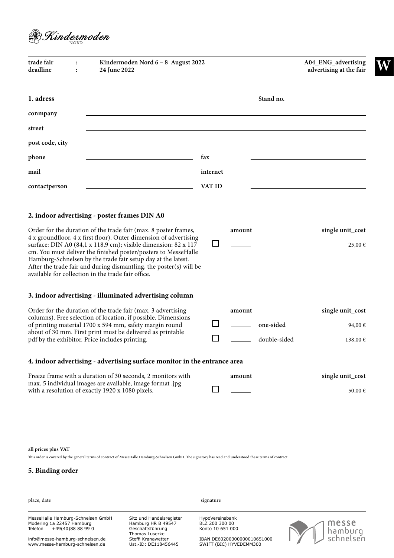

| Stand no.<br>the company of the company of the company<br>fax<br>internet<br>VAT ID<br>2. indoor advertising - poster frames DIN A0<br>Order for the duration of the trade fair (max. 8 poster frames,<br>single unit_cost<br>amount<br>4 x groundfloor, 4 x first floor). Outer dimension of advertising<br>ப<br>surface: DIN A0 (84,1 x 118,9 cm); visible dimension: 82 x 117<br>$25,00 \in$<br>cm. You must deliver the finished poster/posters to MesseHalle<br>Hamburg-Schnelsen by the trade fair setup day at the latest.<br>After the trade fair and during dismantling, the poster(s) will be<br>available for collection in the trade fair office.<br>3. indoor advertising - illuminated advertising column<br>Order for the duration of the trade fair (max. 3 advertising<br>single unit_cost<br>amount<br>columns). Free selection of location, if possible. Dimensions<br>$\sim$<br>of printing material 1700 x 594 mm, safety margin round<br>one-sided<br>94,00 €<br>about of 30 mm. First print must be delivered as printable<br>double-sided<br>pdf by the exhibitor. Price includes printing.<br>$138,00 \in$<br>4. indoor advertising - advertising surface monitor in the entrance area<br>Freeze frame with a duration of 30 seconds, 2 monitors with<br>single unit_cost<br>amount<br>max. 5 individual images are available, image format .jpg<br>with a resolution of exactly 1920 x 1080 pixels.<br>50,00 € | trade fair<br>deadline | Kindermoden Nord 6 - 8 August 2022<br>24 June 2022 |  | A04_ENG_advertising<br>advertising at the fair |
|------------------------------------------------------------------------------------------------------------------------------------------------------------------------------------------------------------------------------------------------------------------------------------------------------------------------------------------------------------------------------------------------------------------------------------------------------------------------------------------------------------------------------------------------------------------------------------------------------------------------------------------------------------------------------------------------------------------------------------------------------------------------------------------------------------------------------------------------------------------------------------------------------------------------------------------------------------------------------------------------------------------------------------------------------------------------------------------------------------------------------------------------------------------------------------------------------------------------------------------------------------------------------------------------------------------------------------------------------------------------------------------------------------------------------------------|------------------------|----------------------------------------------------|--|------------------------------------------------|
|                                                                                                                                                                                                                                                                                                                                                                                                                                                                                                                                                                                                                                                                                                                                                                                                                                                                                                                                                                                                                                                                                                                                                                                                                                                                                                                                                                                                                                          | 1. adress              |                                                    |  |                                                |
|                                                                                                                                                                                                                                                                                                                                                                                                                                                                                                                                                                                                                                                                                                                                                                                                                                                                                                                                                                                                                                                                                                                                                                                                                                                                                                                                                                                                                                          | conmpany               |                                                    |  |                                                |
|                                                                                                                                                                                                                                                                                                                                                                                                                                                                                                                                                                                                                                                                                                                                                                                                                                                                                                                                                                                                                                                                                                                                                                                                                                                                                                                                                                                                                                          | street                 |                                                    |  |                                                |
|                                                                                                                                                                                                                                                                                                                                                                                                                                                                                                                                                                                                                                                                                                                                                                                                                                                                                                                                                                                                                                                                                                                                                                                                                                                                                                                                                                                                                                          | post code, city        |                                                    |  |                                                |
|                                                                                                                                                                                                                                                                                                                                                                                                                                                                                                                                                                                                                                                                                                                                                                                                                                                                                                                                                                                                                                                                                                                                                                                                                                                                                                                                                                                                                                          | phone                  |                                                    |  |                                                |
|                                                                                                                                                                                                                                                                                                                                                                                                                                                                                                                                                                                                                                                                                                                                                                                                                                                                                                                                                                                                                                                                                                                                                                                                                                                                                                                                                                                                                                          | mail                   |                                                    |  |                                                |
|                                                                                                                                                                                                                                                                                                                                                                                                                                                                                                                                                                                                                                                                                                                                                                                                                                                                                                                                                                                                                                                                                                                                                                                                                                                                                                                                                                                                                                          | contactperson          |                                                    |  |                                                |
|                                                                                                                                                                                                                                                                                                                                                                                                                                                                                                                                                                                                                                                                                                                                                                                                                                                                                                                                                                                                                                                                                                                                                                                                                                                                                                                                                                                                                                          |                        |                                                    |  |                                                |
|                                                                                                                                                                                                                                                                                                                                                                                                                                                                                                                                                                                                                                                                                                                                                                                                                                                                                                                                                                                                                                                                                                                                                                                                                                                                                                                                                                                                                                          |                        |                                                    |  |                                                |
|                                                                                                                                                                                                                                                                                                                                                                                                                                                                                                                                                                                                                                                                                                                                                                                                                                                                                                                                                                                                                                                                                                                                                                                                                                                                                                                                                                                                                                          |                        |                                                    |  |                                                |
|                                                                                                                                                                                                                                                                                                                                                                                                                                                                                                                                                                                                                                                                                                                                                                                                                                                                                                                                                                                                                                                                                                                                                                                                                                                                                                                                                                                                                                          |                        |                                                    |  |                                                |
|                                                                                                                                                                                                                                                                                                                                                                                                                                                                                                                                                                                                                                                                                                                                                                                                                                                                                                                                                                                                                                                                                                                                                                                                                                                                                                                                                                                                                                          |                        |                                                    |  |                                                |
|                                                                                                                                                                                                                                                                                                                                                                                                                                                                                                                                                                                                                                                                                                                                                                                                                                                                                                                                                                                                                                                                                                                                                                                                                                                                                                                                                                                                                                          |                        |                                                    |  |                                                |

### **all prices plus VAT**

This order is covered by the general terms of contract of MesseHalle Hamburg-Schnelsen GmbH. The signatory has read and understood these terms of contract.

# **5. Binding order**

| place, date                                                                                    |                                                                                      | signature                                              |                               |  |  |
|------------------------------------------------------------------------------------------------|--------------------------------------------------------------------------------------|--------------------------------------------------------|-------------------------------|--|--|
| MesseHalle Hamburg-Schnelsen GmbH<br>Modering 1a 22457 Hamburg<br>+49(40)88 88 99 0<br>Telefon | Sitz und Handelsregister<br>Hamburg HR B 49547<br>Geschäftsführung<br>Thomas Luserke | HypoVereinsbank<br>BLZ 200 300 00<br>Konto 10 651 000  | messe<br>hamburg<br>schnelsen |  |  |
| info@messe-hamburg-schnelsen.de<br>www.messe-hamburg-schnelsen.de                              | Steffi Kranawetter<br>Ust.-ID: DE118456445                                           | IBAN DE60200300000010651000<br>SWIFT (BIC) HYVEDEMM300 |                               |  |  |